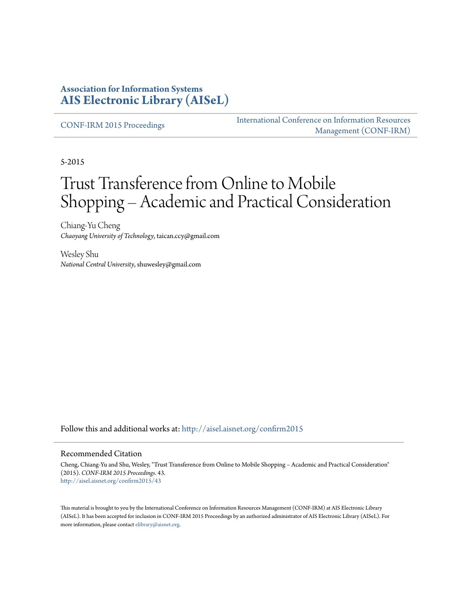#### **Association for Information Systems [AIS Electronic Library \(AISeL\)](http://aisel.aisnet.org?utm_source=aisel.aisnet.org%2Fconfirm2015%2F43&utm_medium=PDF&utm_campaign=PDFCoverPages)**

[CONF-IRM 2015 Proceedings](http://aisel.aisnet.org/confirm2015?utm_source=aisel.aisnet.org%2Fconfirm2015%2F43&utm_medium=PDF&utm_campaign=PDFCoverPages)

[International Conference on Information Resources](http://aisel.aisnet.org/conf-irm?utm_source=aisel.aisnet.org%2Fconfirm2015%2F43&utm_medium=PDF&utm_campaign=PDFCoverPages) [Management \(CONF-IRM\)](http://aisel.aisnet.org/conf-irm?utm_source=aisel.aisnet.org%2Fconfirm2015%2F43&utm_medium=PDF&utm_campaign=PDFCoverPages)

5-2015

# Trust Transference from Online to Mobile Shopping – Academic and Practical Consideration

Chiang-Yu Cheng *Chaoyang University of Technology*, taican.ccy@gmail.com

Wesley Shu *National Central University*, shuwesley@gmail.com

Follow this and additional works at: [http://aisel.aisnet.org/confirm2015](http://aisel.aisnet.org/confirm2015?utm_source=aisel.aisnet.org%2Fconfirm2015%2F43&utm_medium=PDF&utm_campaign=PDFCoverPages)

#### Recommended Citation

Cheng, Chiang-Yu and Shu, Wesley, "Trust Transference from Online to Mobile Shopping – Academic and Practical Consideration" (2015). *CONF-IRM 2015 Proceedings*. 43. [http://aisel.aisnet.org/confirm2015/43](http://aisel.aisnet.org/confirm2015/43?utm_source=aisel.aisnet.org%2Fconfirm2015%2F43&utm_medium=PDF&utm_campaign=PDFCoverPages)

This material is brought to you by the International Conference on Information Resources Management (CONF-IRM) at AIS Electronic Library (AISeL). It has been accepted for inclusion in CONF-IRM 2015 Proceedings by an authorized administrator of AIS Electronic Library (AISeL). For more information, please contact [elibrary@aisnet.org.](mailto:elibrary@aisnet.org%3E)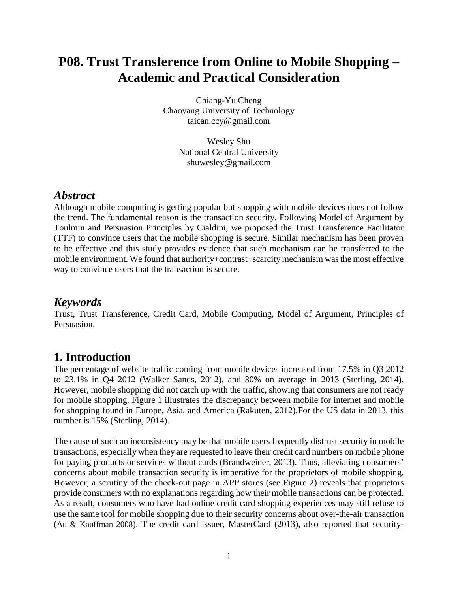## **P08. Trust Transference from Online to Mobile Shopping – Academic and Practical Consideration**

Chiang-Yu Cheng Chaoyang University of Technology taican.ccy@gmail.com

> Wesley Shu National Central University shuwesley@gmail.com

#### *Abstract*

Although mobile computing is getting popular but shopping with mobile devices does not follow the trend. The fundamental reason is the transaction security. Following Model of Argument by Toulmin and Persuasion Principles by Cialdini, we proposed the Trust Transference Facilitator (TTF) to convince users that the mobile shopping is secure. Similar mechanism has been proven to be effective and this study provides evidence that such mechanism can be transferred to the mobile environment. We found that authority+contrast+scarcity mechanism was the most effective way to convince users that the transaction is secure.

#### *Keywords*

Trust, Trust Transference, Credit Card, Mobile Computing, Model of Argument, Principles of Persuasion.

#### **1. Introduction**

The percentage of website traffic coming from mobile devices increased from 17.5% in Q3 2012 to 23.1% in Q4 2012 (Walker Sands, 2012), and 30% on average in 2013 (Sterling, 2014). However, mobile shopping did not catch up with the traffic, showing that consumers are not ready for mobile shopping. Figure 1 illustrates the discrepancy between mobile for internet and mobile for shopping found in Europe, Asia, and America (Rakuten, 2012).For the US data in 2013, this number is 15% (Sterling, 2014).

The cause of such an inconsistency may be that mobile users frequently distrust security in mobile transactions, especially when they are requested to leave their credit card numbers on mobile phone for paying products or services without cards (Brandweiner, 2013). Thus, alleviating consumers' concerns about mobile transaction security is imperative for the proprietors of mobile shopping. However, a scrutiny of the check-out page in APP stores (see Figure 2) reveals that proprietors provide consumers with no explanations regarding how their mobile transactions can be protected. As a result, consumers who have had online credit card shopping experiences may still refuse to use the same tool for mobile shopping due to their security concerns about over-the-air transaction (Au & Kauffman 2008). The credit card issuer, MasterCard (2013), also reported that security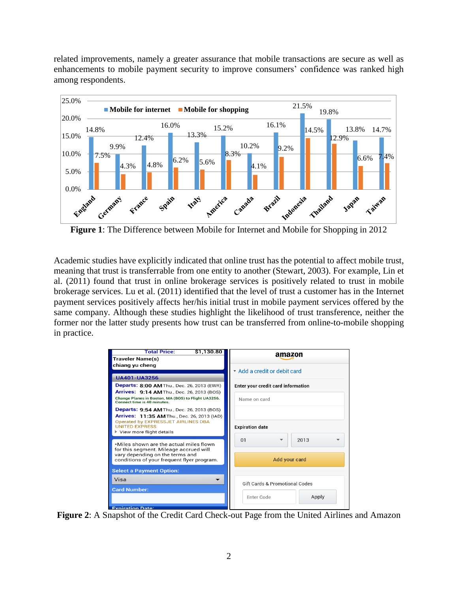related improvements, namely a greater assurance that mobile transactions are secure as well as enhancements to mobile payment security to improve consumers' confidence was ranked high among respondents.



**Figure 1**: The Difference between Mobile for Internet and Mobile for Shopping in 2012

Academic studies have explicitly indicated that online trust has the potential to affect mobile trust, meaning that trust is transferrable from one entity to another (Stewart, 2003). For example, Lin et al. (2011) found that trust in online brokerage services is positively related to trust in mobile brokerage services. Lu et al. (2011) identified that the level of trust a customer has in the Internet payment services positively affects her/his initial trust in mobile payment services offered by the same company. Although these studies highlight the likelihood of trust transference, neither the former nor the latter study presents how trust can be transferred from online-to-mobile shopping in practice.

| <b>Total Price:</b><br>\$1,130.80                                                                                                              | amazon                                    |
|------------------------------------------------------------------------------------------------------------------------------------------------|-------------------------------------------|
| <b>Traveler Name(s)</b>                                                                                                                        |                                           |
| chiang yu cheng                                                                                                                                |                                           |
|                                                                                                                                                | * Add a credit or debit card              |
| <b>UA401-UA3256</b>                                                                                                                            |                                           |
| <b>Departs: 8:00 AM Thu., Dec. 26, 2013 (EWR)</b>                                                                                              | <b>Enter your credit card information</b> |
| <b>Arrives: 9:14 AM</b> Thu., Dec. 26, 2013 (BOS)<br>Change Planes in Boston, MA (BOS) to Flight UA3256.<br><b>Connect time is 40 minutes.</b> | Name on card                              |
| <b>Departs: 9:54 AM</b> Thu., Dec. 26, 2013 (BOS)<br>Arrives: 11:35 AM Thu., Dec. 26, 2013 (IAD)<br><b>Operated by EXPRESSJET AIRLINES DBA</b> |                                           |
| <b>UNITED EXPRESS</b><br>$\blacktriangleright$ View more flight details                                                                        | <b>Expiration date</b>                    |
|                                                                                                                                                | 01<br>2013                                |
| *Miles shown are the actual miles flown                                                                                                        |                                           |
| for this segment. Mileage accrued will<br>vary depending on the terms and                                                                      |                                           |
| conditions of your frequent flyer program.                                                                                                     | Add your card                             |
| <b>Select a Payment Option:</b>                                                                                                                |                                           |
| Visa                                                                                                                                           |                                           |
| <b>Card Number:</b>                                                                                                                            | <b>Gift Cards &amp; Promotional Codes</b> |
|                                                                                                                                                | Apply<br>Enter Code                       |
|                                                                                                                                                |                                           |

**Figure 2**: A Snapshot of the Credit Card Check-out Page from the United Airlines and Amazon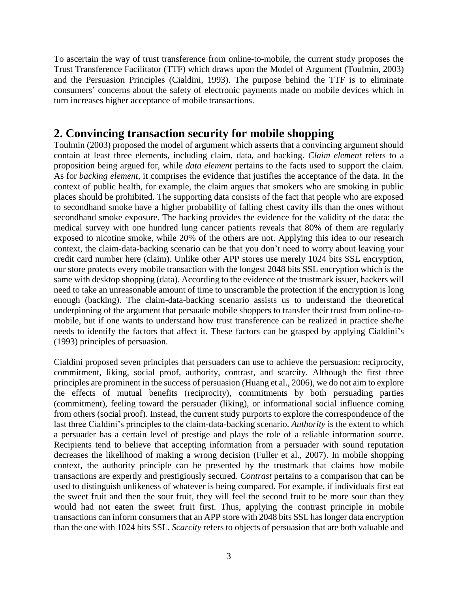To ascertain the way of trust transference from online-to-mobile, the current study proposes the Trust Transference Facilitator (TTF) which draws upon the Model of Argument (Toulmin, 2003) and the Persuasion Principles (Cialdini, 1993). The purpose behind the TTF is to eliminate consumers' concerns about the safety of electronic payments made on mobile devices which in turn increases higher acceptance of mobile transactions.

#### **2. Convincing transaction security for mobile shopping**

Toulmin (2003) proposed the model of argument which asserts that a convincing argument should contain at least three elements, including claim, data, and backing. *Claim element* refers to a proposition being argued for, while *data element* pertains to the facts used to support the claim. As for *backing element*, it comprises the evidence that justifies the acceptance of the data. In the context of public health, for example, the claim argues that smokers who are smoking in public places should be prohibited. The supporting data consists of the fact that people who are exposed to secondhand smoke have a higher probability of falling chest cavity ills than the ones without secondhand smoke exposure. The backing provides the evidence for the validity of the data: the medical survey with one hundred lung cancer patients reveals that 80% of them are regularly exposed to nicotine smoke, while 20% of the others are not. Applying this idea to our research context, the claim-data-backing scenario can be that you don't need to worry about leaving your credit card number here (claim). Unlike other APP stores use merely 1024 bits SSL encryption, our store protects every mobile transaction with the longest 2048 bits SSL encryption which is the same with desktop shopping (data). According to the evidence of the trustmark issuer, hackers will need to take an unreasonable amount of time to unscramble the protection if the encryption is long enough (backing). The claim-data-backing scenario assists us to understand the theoretical underpinning of the argument that persuade mobile shoppers to transfer their trust from online-tomobile, but if one wants to understand how trust transference can be realized in practice she/he needs to identify the factors that affect it. These factors can be grasped by applying Cialdini's (1993) principles of persuasion.

Cialdini proposed seven principles that persuaders can use to achieve the persuasion: reciprocity, commitment, liking, social proof, authority, contrast, and scarcity. Although the first three principles are prominent in the success of persuasion (Huang et al., 2006), we do not aim to explore the effects of mutual benefits (reciprocity), commitments by both persuading parties (commitment), feeling toward the persuader (liking), or informational social influence coming from others (social proof). Instead, the current study purports to explore the correspondence of the last three Cialdini's principles to the claim-data-backing scenario. *Authority* is the extent to which a persuader has a certain level of prestige and plays the role of a reliable information source. Recipients tend to believe that accepting information from a persuader with sound reputation decreases the likelihood of making a wrong decision (Fuller et al., 2007). In mobile shopping context, the authority principle can be presented by the trustmark that claims how mobile transactions are expertly and prestigiously secured. *Contrast* pertains to a comparison that can be used to distinguish unlikeness of whatever is being compared. For example, if individuals first eat the sweet fruit and then the sour fruit, they will feel the second fruit to be more sour than they would had not eaten the sweet fruit first. Thus, applying the contrast principle in mobile transactions can inform consumers that an APP store with 2048 bits SSL has longer data encryption than the one with 1024 bits SSL. *Scarcity* refers to objects of persuasion that are both valuable and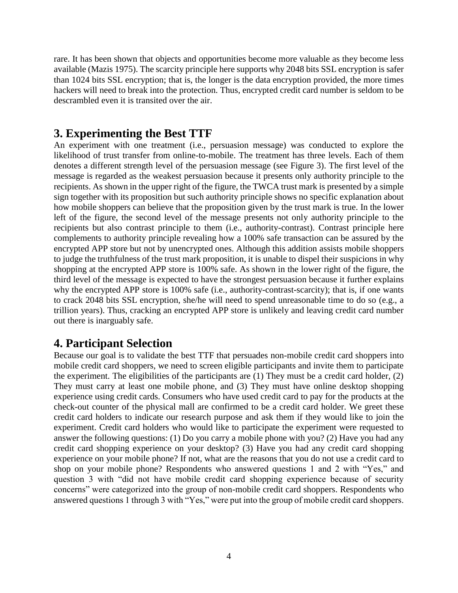rare. It has been shown that objects and opportunities become more valuable as they become less available (Mazis 1975). The scarcity principle here supports why 2048 bits SSL encryption is safer than 1024 bits SSL encryption; that is, the longer is the data encryption provided, the more times hackers will need to break into the protection. Thus, encrypted credit card number is seldom to be descrambled even it is transited over the air.

#### **3. Experimenting the Best TTF**

An experiment with one treatment (i.e., persuasion message) was conducted to explore the likelihood of trust transfer from online-to-mobile. The treatment has three levels. Each of them denotes a different strength level of the persuasion message (see Figure 3). The first level of the message is regarded as the weakest persuasion because it presents only authority principle to the recipients. As shown in the upper right of the figure, the TWCA trust mark is presented by a simple sign together with its proposition but such authority principle shows no specific explanation about how mobile shoppers can believe that the proposition given by the trust mark is true. In the lower left of the figure, the second level of the message presents not only authority principle to the recipients but also contrast principle to them (i.e., authority-contrast). Contrast principle here complements to authority principle revealing how a 100% safe transaction can be assured by the encrypted APP store but not by unencrypted ones. Although this addition assists mobile shoppers to judge the truthfulness of the trust mark proposition, it is unable to dispel their suspicions in why shopping at the encrypted APP store is 100% safe. As shown in the lower right of the figure, the third level of the message is expected to have the strongest persuasion because it further explains why the encrypted APP store is 100% safe (i.e., authority-contrast-scarcity); that is, if one wants to crack 2048 bits SSL encryption, she/he will need to spend unreasonable time to do so (e.g., a trillion years). Thus, cracking an encrypted APP store is unlikely and leaving credit card number out there is inarguably safe.

#### **4. Participant Selection**

Because our goal is to validate the best TTF that persuades non-mobile credit card shoppers into mobile credit card shoppers, we need to screen eligible participants and invite them to participate the experiment. The eligibilities of the participants are (1) They must be a credit card holder, (2) They must carry at least one mobile phone, and (3) They must have online desktop shopping experience using credit cards. Consumers who have used credit card to pay for the products at the check-out counter of the physical mall are confirmed to be a credit card holder. We greet these credit card holders to indicate our research purpose and ask them if they would like to join the experiment. Credit card holders who would like to participate the experiment were requested to answer the following questions: (1) Do you carry a mobile phone with you? (2) Have you had any credit card shopping experience on your desktop? (3) Have you had any credit card shopping experience on your mobile phone? If not, what are the reasons that you do not use a credit card to shop on your mobile phone? Respondents who answered questions 1 and 2 with "Yes," and question 3 with "did not have mobile credit card shopping experience because of security concerns" were categorized into the group of non-mobile credit card shoppers. Respondents who answered questions 1 through 3 with "Yes," were put into the group of mobile credit card shoppers.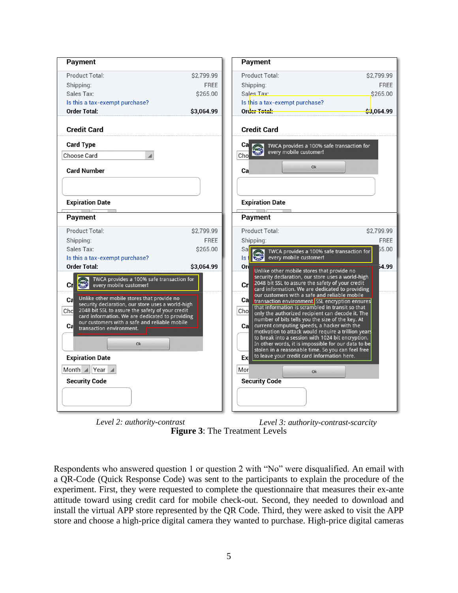| <b>Payment</b>                                                                                                                                                                                                                                                                                                                                                                                                                                                                                            |             | Payment                                                                                                                                                                                                                                                                                                                                                                                                                                                                                                                                                                                                                                                                                                                                                                                                                                                                 |             |
|-----------------------------------------------------------------------------------------------------------------------------------------------------------------------------------------------------------------------------------------------------------------------------------------------------------------------------------------------------------------------------------------------------------------------------------------------------------------------------------------------------------|-------------|-------------------------------------------------------------------------------------------------------------------------------------------------------------------------------------------------------------------------------------------------------------------------------------------------------------------------------------------------------------------------------------------------------------------------------------------------------------------------------------------------------------------------------------------------------------------------------------------------------------------------------------------------------------------------------------------------------------------------------------------------------------------------------------------------------------------------------------------------------------------------|-------------|
| Product Total:                                                                                                                                                                                                                                                                                                                                                                                                                                                                                            | \$2,799.99  | Product Total:                                                                                                                                                                                                                                                                                                                                                                                                                                                                                                                                                                                                                                                                                                                                                                                                                                                          | \$2,799.99  |
| Shipping:                                                                                                                                                                                                                                                                                                                                                                                                                                                                                                 | <b>FREE</b> | Shipping:                                                                                                                                                                                                                                                                                                                                                                                                                                                                                                                                                                                                                                                                                                                                                                                                                                                               | <b>FREE</b> |
| Sales Tax:                                                                                                                                                                                                                                                                                                                                                                                                                                                                                                | \$265.00    | Sales Tax:                                                                                                                                                                                                                                                                                                                                                                                                                                                                                                                                                                                                                                                                                                                                                                                                                                                              | \$265.00    |
| Is this a tax-exempt purchase?                                                                                                                                                                                                                                                                                                                                                                                                                                                                            |             | Is this a tax-exempt purchase?                                                                                                                                                                                                                                                                                                                                                                                                                                                                                                                                                                                                                                                                                                                                                                                                                                          |             |
| <b>Order Total:</b>                                                                                                                                                                                                                                                                                                                                                                                                                                                                                       | \$3,064.99  | Order Total:                                                                                                                                                                                                                                                                                                                                                                                                                                                                                                                                                                                                                                                                                                                                                                                                                                                            | S3.064.99   |
| <b>Credit Card</b>                                                                                                                                                                                                                                                                                                                                                                                                                                                                                        |             | <b>Credit Card</b>                                                                                                                                                                                                                                                                                                                                                                                                                                                                                                                                                                                                                                                                                                                                                                                                                                                      |             |
| <b>Card Type</b>                                                                                                                                                                                                                                                                                                                                                                                                                                                                                          |             | Ca∣<br>TWCA provides a 100% safe transaction for                                                                                                                                                                                                                                                                                                                                                                                                                                                                                                                                                                                                                                                                                                                                                                                                                        |             |
| Choose Card<br>$\overline{\phantom{a}}$                                                                                                                                                                                                                                                                                                                                                                                                                                                                   |             | every mobile customer!<br>2.16<br>Cho                                                                                                                                                                                                                                                                                                                                                                                                                                                                                                                                                                                                                                                                                                                                                                                                                                   |             |
| <b>Card Number</b>                                                                                                                                                                                                                                                                                                                                                                                                                                                                                        |             | Ok<br>Сa                                                                                                                                                                                                                                                                                                                                                                                                                                                                                                                                                                                                                                                                                                                                                                                                                                                                |             |
| <b>Expiration Date</b>                                                                                                                                                                                                                                                                                                                                                                                                                                                                                    |             | <b>Expiration Date</b>                                                                                                                                                                                                                                                                                                                                                                                                                                                                                                                                                                                                                                                                                                                                                                                                                                                  |             |
|                                                                                                                                                                                                                                                                                                                                                                                                                                                                                                           |             |                                                                                                                                                                                                                                                                                                                                                                                                                                                                                                                                                                                                                                                                                                                                                                                                                                                                         |             |
| Payment                                                                                                                                                                                                                                                                                                                                                                                                                                                                                                   |             | Payment                                                                                                                                                                                                                                                                                                                                                                                                                                                                                                                                                                                                                                                                                                                                                                                                                                                                 |             |
| Product Total:                                                                                                                                                                                                                                                                                                                                                                                                                                                                                            | \$2,799.99  | Product Total:                                                                                                                                                                                                                                                                                                                                                                                                                                                                                                                                                                                                                                                                                                                                                                                                                                                          | \$2,799.99  |
| Shipping:                                                                                                                                                                                                                                                                                                                                                                                                                                                                                                 | <b>FREE</b> | Shipping:                                                                                                                                                                                                                                                                                                                                                                                                                                                                                                                                                                                                                                                                                                                                                                                                                                                               | FREE        |
| Sales Tax:                                                                                                                                                                                                                                                                                                                                                                                                                                                                                                | \$265.00    | Sa<br>TWCA provides a 100% safe transaction for                                                                                                                                                                                                                                                                                                                                                                                                                                                                                                                                                                                                                                                                                                                                                                                                                         | 55.00       |
| Is this a tax-exempt purchase?                                                                                                                                                                                                                                                                                                                                                                                                                                                                            |             | every mobile customer!<br>Is                                                                                                                                                                                                                                                                                                                                                                                                                                                                                                                                                                                                                                                                                                                                                                                                                                            |             |
| <b>Order Total:</b><br>TWCA provides a 100% safe transaction for<br><b>TWO-3</b><br>every mobile customer!<br>Crl<br>Unlike other mobile stores that provide no<br>Cal<br>security declaration, our store uses a world-high<br>2048 bit SSL to assure the safety of your credit<br>Chol<br>card information. We are dedicated to providing<br>our customers with a safe and reliable mobile<br>Cal<br>transaction environment.<br>Ok<br><b>Expiration Date</b><br>Month $  $ Year<br><b>Security Code</b> | \$3,064.99  | Ord<br>Unlike other mobile stores that provide no<br>security declaration, our store uses a world-high<br>2048 bit SSL to assure the safety of your credit<br>Crl<br>card information. We are dedicated to providing<br>our customers with a safe and reliable mobile<br>Ca transaction environment SSL encryption ensures<br>that information is scrambled in transit so that<br>Chol<br>only the authorized recipient can decode it. The<br>number of bits tells you the size of the key. At<br>current computing speeds, a hacker with the<br>Cal<br>motivation to attack would require a trillion years<br>to break into a session with 1024 bit encryption.<br>In other words, it is impossible for our data to be<br>stolen in a reasonable time. So you can feel free<br>to leave your credit card information here.<br>Exi<br>Mor<br>Ok<br><b>Security Code</b> | 64.99       |

**Figure 3**: The Treatment Levels *Level 2: authority-contrast Level 3: authority-contrast-scarcity*

Respondents who answered question 1 or question 2 with "No" were disqualified. An email with a QR-Code (Quick Response Code) was sent to the participants to explain the procedure of the experiment. First, they were requested to complete the questionnaire that measures their ex-ante attitude toward using credit card for mobile check-out. Second, they needed to download and install the virtual APP store represented by the QR Code. Third, they were asked to visit the APP store and choose a high-price digital camera they wanted to purchase. High-price digital cameras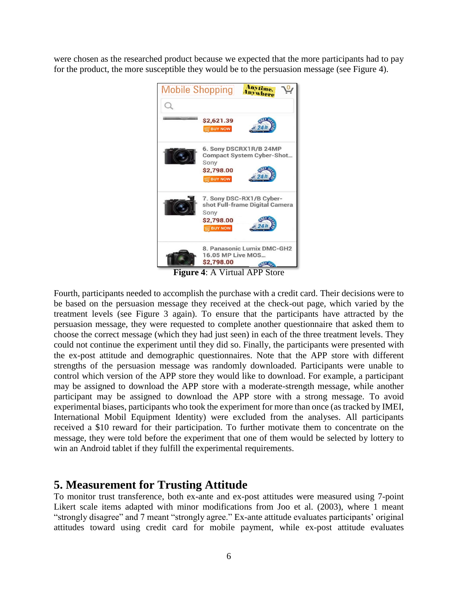were chosen as the researched product because we expected that the more participants had to pay for the product, the more susceptible they would be to the persuasion message (see Figure 4).



**Figure 4**: A Virtual APP Store

Fourth, participants needed to accomplish the purchase with a credit card. Their decisions were to be based on the persuasion message they received at the check-out page, which varied by the treatment levels (see Figure 3 again). To ensure that the participants have attracted by the persuasion message, they were requested to complete another questionnaire that asked them to choose the correct message (which they had just seen) in each of the three treatment levels. They could not continue the experiment until they did so. Finally, the participants were presented with the ex-post attitude and demographic questionnaires. Note that the APP store with different strengths of the persuasion message was randomly downloaded. Participants were unable to control which version of the APP store they would like to download. For example, a participant may be assigned to download the APP store with a moderate-strength message, while another participant may be assigned to download the APP store with a strong message. To avoid experimental biases, participants who took the experiment for more than once (as tracked by IMEI, International Mobil Equipment Identity) were excluded from the analyses. All participants received a \$10 reward for their participation. To further motivate them to concentrate on the message, they were told before the experiment that one of them would be selected by lottery to win an Android tablet if they fulfill the experimental requirements.

#### **5. Measurement for Trusting Attitude**

To monitor trust transference, both ex-ante and ex-post attitudes were measured using 7-point Likert scale items adapted with minor modifications from Joo et al. (2003), where 1 meant "strongly disagree" and 7 meant "strongly agree." Ex-ante attitude evaluates participants' original attitudes toward using credit card for mobile payment, while ex-post attitude evaluates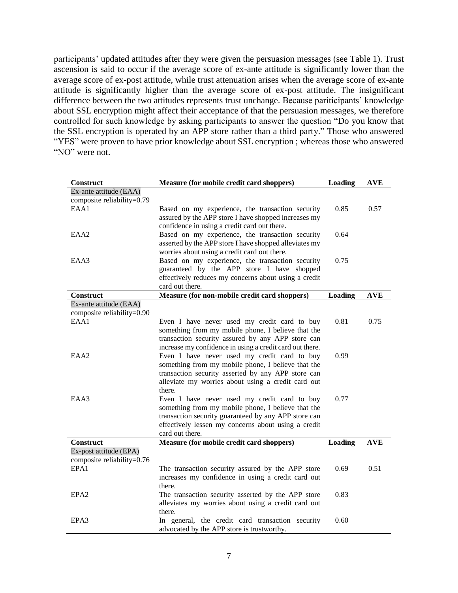participants' updated attitudes after they were given the persuasion messages (see Table 1). Trust ascension is said to occur if the average score of ex-ante attitude is significantly lower than the average score of ex-post attitude, while trust attenuation arises when the average score of ex-ante attitude is significantly higher than the average score of ex-post attitude. The insignificant difference between the two attitudes represents trust unchange. Because pariticipants' knowledge about SSL encryption might affect their acceptance of that the persuasion messages, we therefore controlled for such knowledge by asking participants to answer the question "Do you know that the SSL encryption is operated by an APP store rather than a third party." Those who answered "YES" were proven to have prior knowledge about SSL encryption ; whereas those who answered "NO" were not.

| Construct                  | Measure (for mobile credit card shoppers)                | Loading        | <b>AVE</b> |
|----------------------------|----------------------------------------------------------|----------------|------------|
| Ex-ante attitude (EAA)     |                                                          |                |            |
| composite reliability=0.79 |                                                          |                |            |
| EAA1                       | Based on my experience, the transaction security         | 0.85           | 0.57       |
|                            | assured by the APP store I have shopped increases my     |                |            |
|                            | confidence in using a credit card out there.             |                |            |
| EAA2                       | Based on my experience, the transaction security         | 0.64           |            |
|                            | asserted by the APP store I have shopped alleviates my   |                |            |
|                            | worries about using a credit card out there.             |                |            |
| EAA3                       | Based on my experience, the transaction security         | 0.75           |            |
|                            | guaranteed by the APP store I have shopped               |                |            |
|                            | effectively reduces my concerns about using a credit     |                |            |
|                            | card out there.                                          |                |            |
| Construct                  | Measure (for non-mobile credit card shoppers)            | <b>Loading</b> | <b>AVE</b> |
| Ex-ante attitude (EAA)     |                                                          |                |            |
| composite reliability=0.90 |                                                          |                |            |
| EAA1                       | Even I have never used my credit card to buy             | 0.81           | 0.75       |
|                            | something from my mobile phone, I believe that the       |                |            |
|                            | transaction security assured by any APP store can        |                |            |
|                            | increase my confidence in using a credit card out there. |                |            |
| EAA <sub>2</sub>           | Even I have never used my credit card to buy             | 0.99           |            |
|                            | something from my mobile phone, I believe that the       |                |            |
|                            | transaction security asserted by any APP store can       |                |            |
|                            | alleviate my worries about using a credit card out       |                |            |
|                            | there.                                                   |                |            |
| EAA3                       | Even I have never used my credit card to buy             | 0.77           |            |
|                            | something from my mobile phone, I believe that the       |                |            |
|                            | transaction security guaranteed by any APP store can     |                |            |
|                            | effectively lessen my concerns about using a credit      |                |            |
|                            | card out there.                                          |                |            |
| <b>Construct</b>           |                                                          |                |            |
|                            | Measure (for mobile credit card shoppers)                | Loading        | <b>AVE</b> |
| Ex-post attitude (EPA)     |                                                          |                |            |
| composite reliability=0.76 |                                                          |                |            |
| EPA1                       | The transaction security assured by the APP store        | 0.69           | 0.51       |
|                            | increases my confidence in using a credit card out       |                |            |
|                            | there.                                                   |                |            |
| EPA <sub>2</sub>           | The transaction security asserted by the APP store       | 0.83           |            |
|                            | alleviates my worries about using a credit card out      |                |            |
|                            | there.                                                   |                |            |
| EPA3                       | In general, the credit card transaction security         | 0.60           |            |
|                            | advocated by the APP store is trustworthy.               |                |            |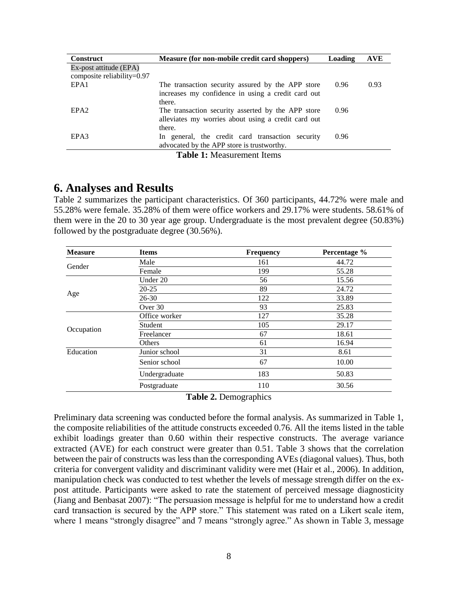| <b>Construct</b>              | Measure (for non-mobile credit card shoppers)       | <b>Loading</b> | <b>AVE</b> |
|-------------------------------|-----------------------------------------------------|----------------|------------|
| Ex-post attitude (EPA)        |                                                     |                |            |
| composite reliability= $0.97$ |                                                     |                |            |
| EPA1                          | The transaction security assured by the APP store   | 0.96           | 0.93       |
|                               | increases my confidence in using a credit card out  |                |            |
|                               | there.                                              |                |            |
| EPA <sub>2</sub>              | The transaction security asserted by the APP store  | 0.96           |            |
|                               | alleviates my worries about using a credit card out |                |            |
|                               | there.                                              |                |            |
| EPA3                          | In general, the credit card transaction security    | 0.96           |            |
|                               | advocated by the APP store is trustworthy.          |                |            |
|                               | <b>Table 1:</b> Measurement Items                   |                |            |

#### **6. Analyses and Results**

Table 2 summarizes the participant characteristics. Of 360 participants, 44.72% were male and 55.28% were female. 35.28% of them were office workers and 29.17% were students. 58.61% of them were in the 20 to 30 year age group. Undergraduate is the most prevalent degree (50.83%) followed by the postgraduate degree (30.56%).

| <b>Measure</b> | <b>Items</b>  | <b>Frequency</b>             | Percentage % |
|----------------|---------------|------------------------------|--------------|
|                | Male          | 161                          | 44.72        |
| Gender         | Female        | 199                          | 55.28        |
|                | Under 20      | 56                           | 15.56        |
|                | $20 - 25$     | 89                           | 24.72        |
| Age            | $26 - 30$     | 122                          | 33.89        |
|                | Over 30       | 93                           | 25.83        |
|                | Office worker | 127                          | 35.28        |
|                | Student       | 105                          | 29.17        |
| Occupation     | Freelancer    | 67                           | 18.61        |
|                | Others        | 61                           | 16.94        |
| Education      | Junior school | 31                           | 8.61         |
|                | Senior school | 67                           | 10.00        |
|                | Undergraduate | 183                          | 50.83        |
|                | Postgraduate  | 110                          | 30.56        |
|                |               | <b>Table 2. Demographics</b> |              |

Preliminary data screening was conducted before the formal analysis. As summarized in Table 1, the composite reliabilities of the attitude constructs exceeded 0.76. All the items listed in the table exhibit loadings greater than 0.60 within their respective constructs. The average variance extracted (AVE) for each construct were greater than 0.51. Table 3 shows that the correlation between the pair of constructs was less than the corresponding AVEs (diagonal values). Thus, both criteria for convergent validity and discriminant validity were met (Hair et al., 2006). In addition, manipulation check was conducted to test whether the levels of message strength differ on the expost attitude. Participants were asked to rate the statement of perceived message diagnosticity (Jiang and Benbasat 2007): "The persuasion message is helpful for me to understand how a credit card transaction is secured by the APP store." This statement was rated on a Likert scale item, where 1 means "strongly disagree" and 7 means "strongly agree." As shown in Table 3, message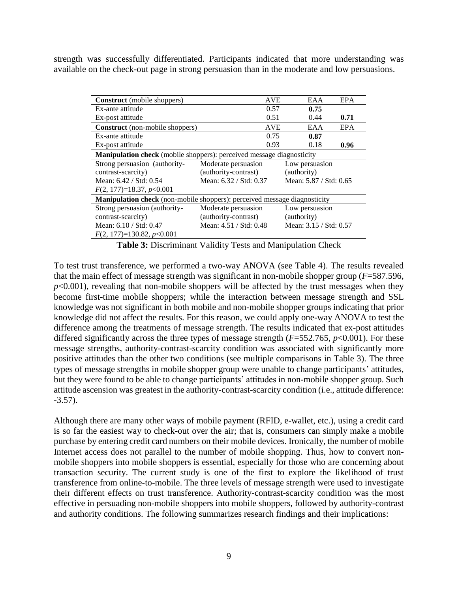strength was successfully differentiated. Participants indicated that more understanding was available on the check-out page in strong persuasion than in the moderate and low persuasions.

| <b>Construct</b> (mobile shoppers)                                        | <b>AVE</b>             | EAA                    | EPA  |  |  |
|---------------------------------------------------------------------------|------------------------|------------------------|------|--|--|
| Ex-ante attitude                                                          | 0.57                   | 0.75                   |      |  |  |
| Ex-post attitude                                                          | 0.51                   | 0.44                   | 0.71 |  |  |
| <b>Construct</b> (non-mobile shoppers)                                    | <b>AVE</b>             | EAA                    | EPA  |  |  |
| Ex-ante attitude                                                          | 0.75                   | 0.87                   |      |  |  |
| Ex-post attitude                                                          | 0.93                   | 0.18                   | 0.96 |  |  |
| Manipulation check (mobile shoppers): perceived message diagnosticity     |                        |                        |      |  |  |
| Strong persuasion (authority-                                             | Moderate persuasion    | Low persuasion         |      |  |  |
| contrast-scarcity)                                                        | (authority-contrast)   | (authority)            |      |  |  |
| Mean: 6.42 / Std: 0.54                                                    | Mean: 6.32 / Std: 0.37 | Mean: 5.87 / Std: 0.65 |      |  |  |
| $F(2, 177)=18.37, p<0.001$                                                |                        |                        |      |  |  |
| Manipulation check (non-mobile shoppers): perceived message diagnosticity |                        |                        |      |  |  |
| Strong persuasion (authority-                                             | Moderate persuasion    | Low persuasion         |      |  |  |
| contrast-scarcity)                                                        | (authority-contrast)   | (authority)            |      |  |  |
| Mean: 6.10 / Std: 0.47                                                    | Mean: 4.51 / Std: 0.48 | Mean: 3.15 / Std: 0.57 |      |  |  |
| $F(2, 177)=130.82, p<0.001$                                               |                        |                        |      |  |  |

**Table 3:** Discriminant Validity Tests and Manipulation Check

To test trust transference, we performed a two-way ANOVA (see Table 4). The results revealed that the main effect of message strength was significant in non-mobile shopper group (*F*=587.596,  $p<0.001$ ), revealing that non-mobile shoppers will be affected by the trust messages when they become first-time mobile shoppers; while the interaction between message strength and SSL knowledge was not significant in both mobile and non-mobile shopper groups indicating that prior knowledge did not affect the results. For this reason, we could apply one-way ANOVA to test the difference among the treatments of message strength. The results indicated that ex-post attitudes differed significantly across the three types of message strength (*F*=552.765, *p*<0.001). For these message strengths, authority-contrast-scarcity condition was associated with significantly more positive attitudes than the other two conditions (see multiple comparisons in Table 3). The three types of message strengths in mobile shopper group were unable to change participants' attitudes, but they were found to be able to change participants' attitudes in non-mobile shopper group. Such attitude ascension was greatest in the authority-contrast-scarcity condition (i.e., attitude difference:  $-3.57$ ).

Although there are many other ways of mobile payment (RFID, e-wallet, etc.), using a credit card is so far the easiest way to check-out over the air; that is, consumers can simply make a mobile purchase by entering credit card numbers on their mobile devices. Ironically, the number of mobile Internet access does not parallel to the number of mobile shopping. Thus, how to convert nonmobile shoppers into mobile shoppers is essential, especially for those who are concerning about transaction security. The current study is one of the first to explore the likelihood of trust transference from online-to-mobile. The three levels of message strength were used to investigate their different effects on trust transference. Authority-contrast-scarcity condition was the most effective in persuading non-mobile shoppers into mobile shoppers, followed by authority-contrast and authority conditions. The following summarizes research findings and their implications: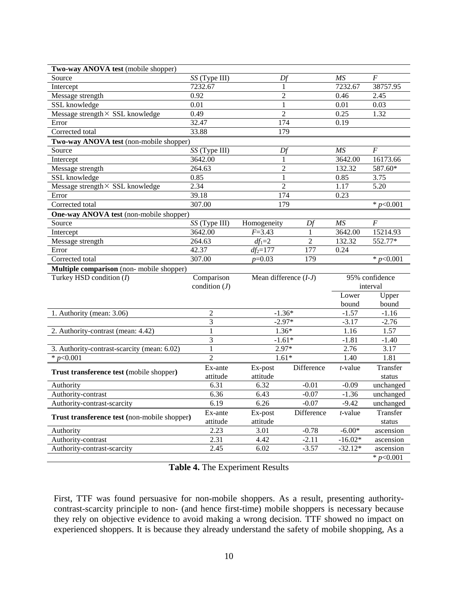| Two-way ANOVA test (mobile shopper)          |                            |                         |                |                 |                                   |
|----------------------------------------------|----------------------------|-------------------------|----------------|-----------------|-----------------------------------|
| Source                                       | SS (Type III)              | Df                      |                | MS              | $\boldsymbol{F}$                  |
| Intercept                                    | 7232.67                    | 1                       |                | 7232.67         | 38757.95                          |
| Message strength                             | 0.92                       | $\overline{c}$          |                | 0.46            | 2.45                              |
| SSL knowledge                                | 0.01                       | $\mathbf{1}$            |                | 0.01            | 0.03                              |
| Message strength $\times$ SSL knowledge      | 0.49                       | $\overline{c}$          |                | 0.25            | 1.32                              |
| Error                                        | 32.47                      | 174                     |                | 0.19            |                                   |
| Corrected total                              | 33.88                      | 179                     |                |                 |                                   |
| Two-way ANOVA test (non-mobile shopper)      |                            |                         |                |                 |                                   |
| Source                                       | SS (Type III)              | Df                      |                | MS              | $\boldsymbol{F}$                  |
| Intercept                                    | 3642.00                    | 1                       |                | 3642.00         | 16173.66                          |
| Message strength                             | 264.63                     | $\overline{2}$          |                | 132.32          | 587.60*                           |
| SSL knowledge                                | 0.85                       | $\mathbf{1}$            |                | 0.85            | 3.75                              |
| Message strength× SSL knowledge              | 2.34                       | $\overline{2}$          |                | 1.17            | 5.20                              |
| Error                                        | 39.18                      | 174                     |                | 0.23            |                                   |
| Corrected total                              | 307.00                     | 179                     |                |                 | * $p<0.001$                       |
| One-way ANOVA test (non-mobile shopper)      |                            |                         |                |                 |                                   |
| Source                                       | $\overline{SS}$ (Type III) | Homogeneity             | Df             | MS              | F                                 |
| Intercept                                    | 3642.00                    | $F = 3.43$              | 1              | 3642.00         | 15214.93                          |
| Message strength                             | 264.63                     | $df_1=2$                | $\overline{2}$ | 132.32          | 552.77*                           |
| Error                                        | 42.37                      | $df_2 = 177$            | 177            | 0.24            |                                   |
| Corrected total                              | 307.00                     | $p=0.03$                | 179            |                 | * $p<0.001$                       |
|                                              |                            |                         |                |                 |                                   |
| Multiple comparison (non- mobile shopper)    |                            |                         |                |                 |                                   |
| Turkey HSD condition $(I)$                   | Comparison                 | Mean difference $(I-J)$ |                |                 | 95% confidence                    |
|                                              | condition $(J)$            |                         |                |                 | interval                          |
|                                              |                            |                         |                | Lower           | Upper                             |
|                                              |                            |                         |                | bound           | bound                             |
| 1. Authority (mean: 3.06)                    | 2                          | $-1.36*$                |                | $-1.57$         | $-1.16$                           |
|                                              | 3                          | $-2.97*$                |                | $-3.17$         | $-2.76$                           |
| 2. Authority-contrast (mean: 4.42)           |                            | $1.36*$                 |                | 1.16            | 1.57                              |
|                                              | 3                          | $-1.61*$                |                | $-1.81$         | $-1.40$                           |
| 3. Authority-contrast-scarcity (mean: 6.02)  | 1                          | 2.97*                   |                | 2.76            | 3.17                              |
| * $p<0.001$                                  | $\overline{2}$             | $1.61*$                 |                | 1.40            | 1.81                              |
|                                              | Ex-ante                    | Ex-post                 | Difference     | $t$ -value      | Transfer                          |
| Trust transference test (mobile shopper)     | attitude                   | attitude                |                |                 | status                            |
| Authority                                    | 6.31                       | 6.32                    | $-0.01$        | $-0.09$         | unchanged                         |
| Authority-contrast                           | 6.36                       | 6.43                    | $-0.07$        | $-1.36$         | unchanged                         |
| Authority-contrast-scarcity                  | 6.19                       | 6.26                    | $-0.07$        | $-9.42$         | unchanged                         |
|                                              | Ex-ante                    | Ex-post                 | Difference     | <i>t</i> -value | Transfer                          |
| Trust transference test (non-mobile shopper) | attitude                   | attitude                |                |                 | status                            |
| Authority                                    | 2.23                       | 3.01                    | $-0.78$        | $-6.00*$        | ascension                         |
| Authority-contrast                           | 2.31                       | 4.42                    | $-2.11$        | $-16.02*$       | ascension                         |
| Authority-contrast-scarcity                  | 2.45                       | 6.02                    | $-3.57$        | $-32.12*$       | ascension<br>$\frac{1}{2}p<0.001$ |

**Table 4.** The Experiment Results

First, TTF was found persuasive for non-mobile shoppers. As a result, presenting authoritycontrast-scarcity principle to non- (and hence first-time) mobile shoppers is necessary because they rely on objective evidence to avoid making a wrong decision. TTF showed no impact on experienced shoppers. It is because they already understand the safety of mobile shopping, As a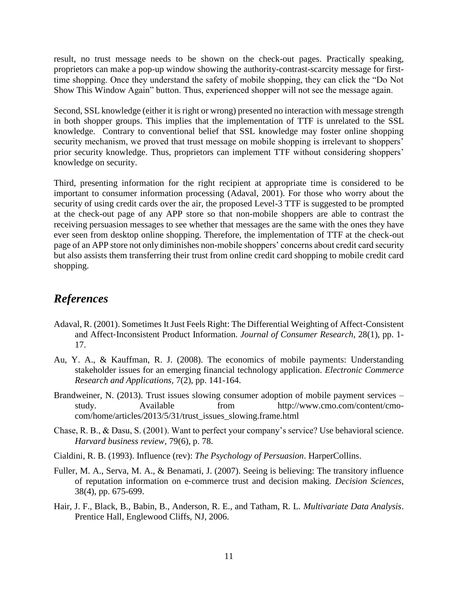result, no trust message needs to be shown on the check-out pages. Practically speaking, proprietors can make a pop-up window showing the authority-contrast-scarcity message for firsttime shopping. Once they understand the safety of mobile shopping, they can click the "Do Not Show This Window Again" button. Thus, experienced shopper will not see the message again.

Second, SSL knowledge (either it is right or wrong) presented no interaction with message strength in both shopper groups. This implies that the implementation of TTF is unrelated to the SSL knowledge. Contrary to conventional belief that SSL knowledge may foster online shopping security mechanism, we proved that trust message on mobile shopping is irrelevant to shoppers' prior security knowledge. Thus, proprietors can implement TTF without considering shoppers' knowledge on security.

Third, presenting information for the right recipient at appropriate time is considered to be important to consumer information processing (Adaval, 2001). For those who worry about the security of using credit cards over the air, the proposed Level-3 TTF is suggested to be prompted at the check-out page of any APP store so that non-mobile shoppers are able to contrast the receiving persuasion messages to see whether that messages are the same with the ones they have ever seen from desktop online shopping. Therefore, the implementation of TTF at the check-out page of an APP store not only diminishes non-mobile shoppers' concerns about credit card security but also assists them transferring their trust from online credit card shopping to mobile credit card shopping.

### *References*

- Adaval, R. (2001). Sometimes It Just Feels Right: The Differential Weighting of Affect‐Consistent and Affect‐Inconsistent Product Information. *Journal of Consumer Research*, 28(1), pp. 1- 17.
- Au, Y. A., & Kauffman, R. J. (2008). The economics of mobile payments: Understanding stakeholder issues for an emerging financial technology application. *Electronic Commerce Research and Applications,* 7(2), pp. 141-164.
- Brandweiner, N. (2013). Trust issues slowing consumer adoption of mobile payment services study. Available from http://www.cmo.com/content/cmocom/home/articles/2013/5/31/trust\_issues\_slowing.frame.html
- Chase, R. B., & Dasu, S. (2001). Want to perfect your company's service? Use behavioral science. *Harvard business review*, 79(6), p. 78.
- Cialdini, R. B. (1993). Influence (rev): *The Psychology of Persuasion*. HarperCollins.
- Fuller, M. A., Serva, M. A., & Benamati, J. (2007). Seeing is believing: The transitory influence of reputation information on e‐commerce trust and decision making. *Decision Sciences*, 38(4), pp. 675-699.
- Hair, J. F., Black, B., Babin, B., Anderson, R. E., and Tatham, R. L. *Multivariate Data Analysis*. Prentice Hall, Englewood Cliffs, NJ, 2006.